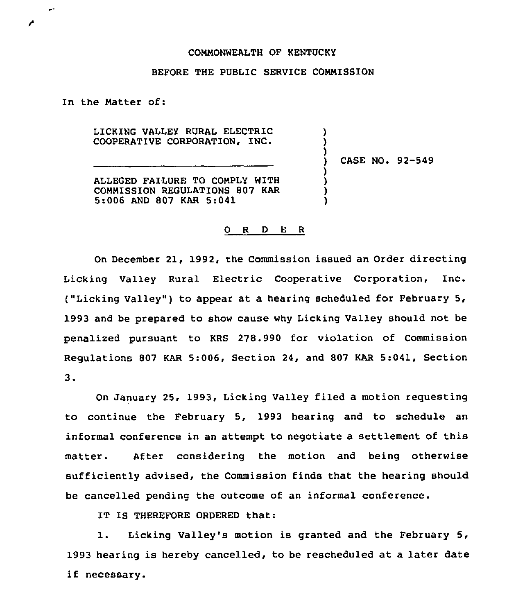## CONNONWEALTH OF KENTUCKY

## BEFORE THE PUBLIC SERVICE COMMISSION

In the Natter of:

 $\mathbf{r}$ 

LICKING VALLEY RURAL ELECTRIC COOPERATIVE CORPORATION, INC.

ALLEGED FAILURE TO COMPLY WITH COMMISSION REGULATIONS 807 KAR 5:006 AND 807 KAR 5:041

) CASE NO. 92-549

) )

)

) ) ) )

## 0 R <sup>D</sup> E R

On December 21, 1992, the Commission issued an Order directing Lickinq Valley Rural Electric Cooperative Corporation, Inc. ("Licking Valley") to appear at a hearing scheduled for February 5, 1993 and be prepared to show cause why Licking Valley should not be penalized pursuant to KRS 278.990 for violation of Commission Regulations 807 KAR 5:006, Section 24, and 807 KAR 5:041, Section  $3.$ 

On January 25, 1993, Licking Valley filed a motion requesting to continue the February 5, 1993 hearing and to schedule an informal conference in an attempt to negotiate a settlement of this matter. After considering the motion and being otherwise sufficiently advised, the Commission finds that the hearing should be cancelled pending the outcome of an informal conference.

IT IS THEREFORE ORDERED that:

1. Lickinq Valley's motion is granted and the February 5, 1993 hearing is hereby cancelled, to be rescheduled at a later date if necessary.